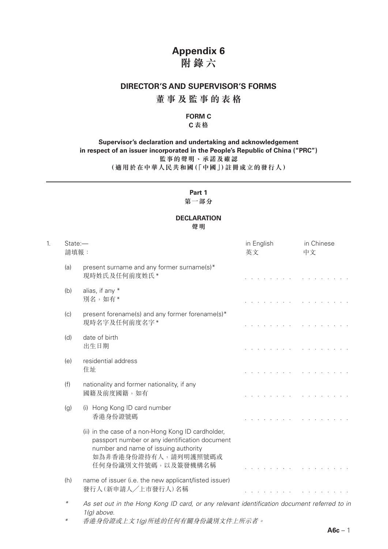# **Appendix 6**

# **附錄六**

### **DIRECTOR'S AND SUPERVISOR'S FORMS**

### **董事及監事的表格**

#### **FORM C**

#### **C 表格**

#### **Supervisor's declaration and undertaking and acknowledgement in respect of an issuer incorporated in the People's Republic of China ("PRC") 監事的聲明、承諾及確認 (適用於在中華人民共和國(「中國」)註冊成立的發行人)**

#### **Part 1 第一部分**

### **DECLARATION**

**聲明**

| 1. | State:-<br>請填報: |                                                                                                                                                                                             | in English<br>英文               | in Chinese<br>中文                                   |
|----|-----------------|---------------------------------------------------------------------------------------------------------------------------------------------------------------------------------------------|--------------------------------|----------------------------------------------------|
|    | (a)             | present surname and any former surname(s)*<br>現時姓氏及任何前度姓氏*                                                                                                                                  |                                | and the control of                                 |
|    | (b)             | alias, if any *<br>別名,如有*                                                                                                                                                                   |                                | and a state of the state of                        |
|    | (c)             | present forename(s) and any former forename(s)*<br>現時名字及任何前度名字*                                                                                                                             |                                | and a state of the state of the                    |
|    | (d)             | date of birth<br>出生日期                                                                                                                                                                       | and the contract of the second |                                                    |
|    | (e)             | residential address<br>住址                                                                                                                                                                   |                                |                                                    |
|    | (f)             | nationality and former nationality, if any<br>國籍及前度國籍,如有                                                                                                                                    |                                |                                                    |
|    | (g)             | (i) Hong Kong ID card number<br>香港身份證號碼                                                                                                                                                     |                                | <u>in the second contract of the second second</u> |
|    |                 | (ii) in the case of a non-Hong Kong ID cardholder,<br>passport number or any identification document<br>number and name of issuing authority<br>如為非香港身份證持有人,請列明護照號碼或<br>任何身份識別文件號碼,以及簽發機構名稱 |                                |                                                    |
|    | (h)             | name of issuer (i.e. the new applicant/listed issuer)<br>發行人(新申請人/上市發行人)名稱                                                                                                                  |                                |                                                    |
|    | $\ast$          | As set out in the Hong Kong ID card, or any relevant identification document referred to in<br>$1(g)$ above.                                                                                |                                |                                                    |
|    | $^\ast$         | 香港身份證或上文1(g)所述的任何有關身份識別文件上所示者。                                                                                                                                                              |                                |                                                    |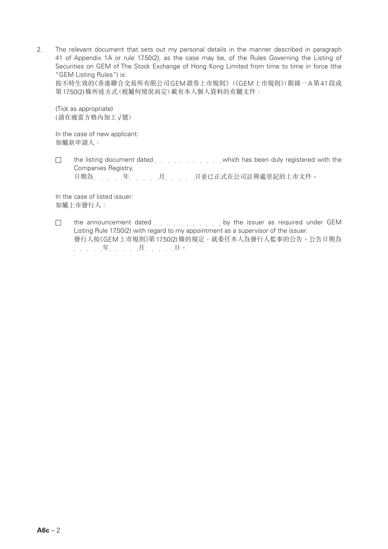2. The relevant document that sets out my personal details in the manner described in paragraph 41 of Appendix 1A or rule 17.50(2), as the case may be, of the Rules Governing the Listing of Securities on GEM of The Stock Exchange of Hong Kong Limited from time to time in force (the "GEM Listing Rules") is:

按不時生效的《香港聯合交易所有限公司GEM證券上市規則》(《GEM上市規則》)附錄一A第41段或 第17.50(2)條所述方式(視屬何情況而定)載有本人個人資料的有關文件:

(Tick as appropriate) (請在適當方格內加上√號)

In the case of new applicant: 如屬新申請人:

 $\Box$ the listing document dated entity and which has been duly registered with the Companies Registry.

日期為 年 年 月 月 月 日並已正式在公司註冊處登記的上市文件。

In the case of listed issuer: 如屬上市發行人:

the announcement dated entity and the issuer as required under GEM  $\Box$ Listing Rule 17.50(2) with regard to my appointment as a supervisor of the issuer. 發行人按《GEM上市規則》第17.50(2)條的規定,就委任本人為發行人監事的公告。公告日期為 . . . . . . . . . . 月. . . . . . 日。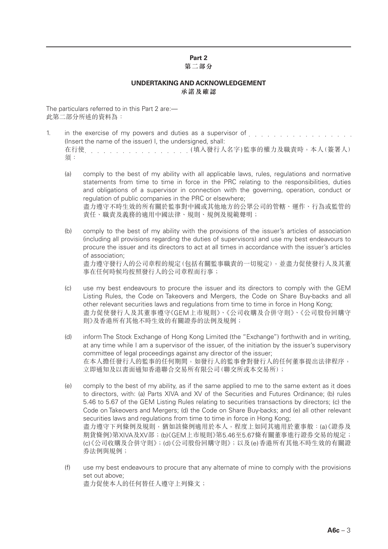# **Part 2**

#### **第二部分**

#### **UNDERTAKING AND ACKNOWLEDGEMENT 承諾及確認**

The particulars referred to in this Part 2 are:— 此第二部分所述的資料為:

- 1. in the exercise of my powers and duties as a supervisor of entity and the exercise of my powers and duties as a supervisor of entity and the exercise (Insert the name of the issuer) I, the undersigned, shall: 在行使 (填入發行人名字)監事的權力及職責時,本人(簽署人) 須:
	- (a) comply to the best of my ability with all applicable laws, rules, regulations and normative statements from time to time in force in the PRC relating to the responsibilities, duties and obligations of a supervisor in connection with the governing, operation, conduct or regulation of public companies in the PRC or elsewhere; 盡力遵守不時生效的所有關於監事對中國或其他地方的公眾公司的管轄、運作、行為或監管的 責任、職責及義務的適用中國法律、規則、規例及規範聲明;
	- (b) comply to the best of my ability with the provisions of the issuer's articles of association (including all provisions regarding the duties of supervisors) and use my best endeavours to procure the issuer and its directors to act at all times in accordance with the issuer's articles of association; 盡力遵守發行人的公司章程的規定(包括有關監事職責的一切規定),並盡力促使發行人及其董 事在任何時候均按照發行人的公司章程而行事;
	- (c) use my best endeavours to procure the issuer and its directors to comply with the GEM Listing Rules, the Code on Takeovers and Mergers, the Code on Share Buy-backs and all other relevant securities laws and regulations from time to time in force in Hong Kong; 盡力促使發行人及其董事遵守《GEM上巿規則》、《公司收購及合併守則》、《公司股份回購守 則》及香港所有其他不時生效的有關證券的法例及規例;
	- (d) inform The Stock Exchange of Hong Kong Limited (the "Exchange") forthwith and in writing, at any time while I am a supervisor of the issuer, of the initiation by the issuer's supervisory committee of legal proceedings against any director of the issuer; 在本人擔任發行人的監事的任何期間,如發行人的監事會對發行人的任何董事提出法律程序, 立即通知及以書面通知香港聯合交易所有限公司(聯交所或本交易所);
	- (e) comply to the best of my ability, as if the same applied to me to the same extent as it does to directors, with: (a) Parts XIVA and XV of the Securities and Futures Ordinance; (b) rules 5.46 to 5.67 of the GEM Listing Rules relating to securities transactions by directors; (c) the Code on Takeovers and Mergers; (d) the Code on Share Buy-backs; and (e) all other relevant securities laws and regulations from time to time in force in Hong Kong: 盡力遵守下列條例及規則,猶如該條例適用於本人,程度上如同其適用於董事般:(a)《證券及 期貨條例》第XIVA及XV部;(b)《GEM上市規則》第5.46至5.67條有關董事進行證券交易的規定; (c)《公司收購及合併守則》;(d)《公司股份回購守則》;以及(e)香港所有其他不時生效的有關證 券法例與規例;
	- (f) use my best endeavours to procure that any alternate of mine to comply with the provisions set out above; 盡力促使本人的任何替任人遵守上列條文;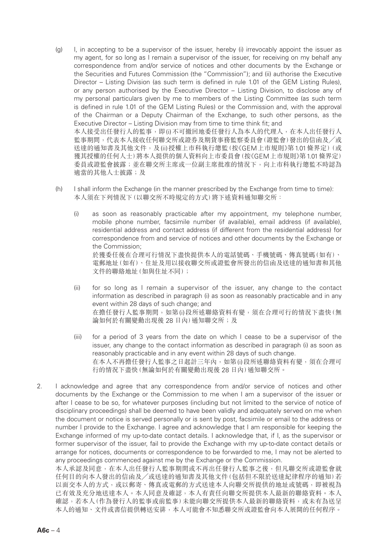- (g) I, in accepting to be a supervisor of the issuer, hereby (i) irrevocably appoint the issuer as my agent, for so long as I remain a supervisor of the issuer, for receiving on my behalf any correspondence from and/or service of notices and other documents by the Exchange or the Securities and Futures Commission (the "Commission"); and (ii) authorise the Executive Director – Listing Division (as such term is defined in rule 1.01 of the GEM Listing Rules), or any person authorised by the Executive Director – Listing Division, to disclose any of my personal particulars given by me to members of the Listing Committee (as such term is defined in rule 1.01 of the GEM Listing Rules) or the Commission and, with the approval of the Chairman or a Deputy Chairman of the Exchange, to such other persons, as the Executive Director – Listing Division may from time to time think fit; and 本人接受出任發行人的監事,即(i)不可撤回地委任發行人為本人的代理人,在本人出任發行人 監事期間,代表本人接收任何聯交所或證券及期貨事務監察委員會(證監會)發出的信函及/或 送達的通知書及其他文件,及(ii)授權上市科執行總監(按《GEM上市規則》第1.01條界定)(或 獲其授權的任何人士)將本人提供的個人資料向上巿委員會(按《GEM上市規則》第1.01條界定) 委員或證監會披露;並在聯交所主席或一位副主席批准的情況下,向上巿科執行總監不時認為 適當的其他人士披露;及
- (h) I shall inform the Exchange (in the manner prescribed by the Exchange from time to time): 本人須在下列情況下(以聯交所不時規定的方式)將下述資料通知聯交所:
	- (i) as soon as reasonably practicable after my appointment, my telephone number, mobile phone number, facsimile number (if available), email address (if available), residential address and contact address (if different from the residential address) for correspondence from and service of notices and other documents by the Exchange or the Commission; 於獲委任後在合理可行情況下盡快提供本人的電話號碼、手機號碼、傳真號碼(如有)、 電郵地址(如有)、住址及用以接收聯交所或證監會所發出的信函及送達的通知書和其他 文件的聯絡地址(如與住址不同);
	- (ii) for so long as I remain a supervisor of the issuer, any change to the contact information as described in paragraph (i) as soon as reasonably practicable and in any event within 28 days of such change; and 在擔任發行人監事期間,如第(i)段所述聯絡資料有變,須在合理可行的情況下盡快(無 論如何於有關變動出現後 28 日內) 通知聯交所;及
	- (iii) for a period of 3 years from the date on which I cease to be a supervisor of the issuer, any change to the contact information as described in paragraph (i) as soon as reasonably practicable and in any event within 28 days of such change. 在本人不再擔任發行人監事之日起計三年內,如第(i)段所述聯絡資料有變,須在合理可 行的情況下盡快(無論如何於有關變動出現後 28 日內)通知聯交所。
- 2. I acknowledge and agree that any correspondence from and/or service of notices and other documents by the Exchange or the Commission to me when I am a supervisor of the issuer or after I cease to be so, for whatever purposes (including but not limited to the service of notice of disciplinary proceedings) shall be deemed to have been validly and adequately served on me when the document or notice is served personally or is sent by post, facsimile or email to the address or number I provide to the Exchange. I agree and acknowledge that I am responsible for keeping the Exchange informed of my up-to-date contact details. I acknowledge that, if I, as the supervisor or former supervisor of the issuer, fail to provide the Exchange with my up-to-date contact details or arrange for notices, documents or correspondence to be forwarded to me, I may not be alerted to any proceedings commenced against me by the Exchange or the Commission.

本人承認及同意,在本人出任發行人監事期間或不再出任發行人監事之後,但凡聯交所或證監會就 任何目的向本人發出的信函及╱或送達的通知書及其他文件(包括但不限於送達紀律程序的通知)若 以面交本人的方式,或以郵寄、傳真或電郵的方式送達本人向聯交所提供的地址或號碼,即被視為 已有效及充分地送達本人。本人同意及確認,本人有責任向聯交所提供本人最新的聯絡資料。本人 確認,若本人(作為發行人的監事或前監事)未能向聯交所提供本人最新的聯絡資料,或未有為送呈 本人的通知、文件或書信提供轉送安排,本人可能會不知悉聯交所或證監會向本人展開的任何程序。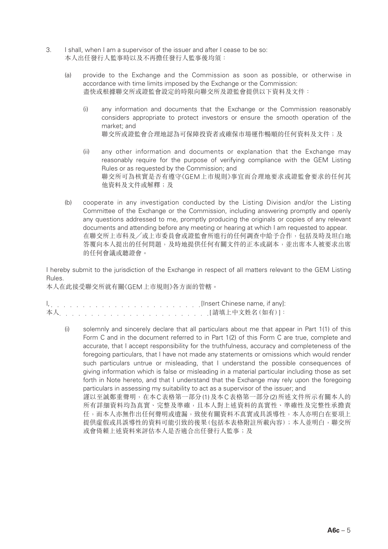- 3. I shall, when I am a supervisor of the issuer and after I cease to be so: 本人出任發行人監事時以及不再擔任發行人監事後均須:
	- (a) provide to the Exchange and the Commission as soon as possible, or otherwise in accordance with time limits imposed by the Exchange or the Commission: 盡快或根據聯交所或證監會設定的時限向聯交所及證監會提供以下資料及文件:
		- (i) any information and documents that the Exchange or the Commission reasonably considers appropriate to protect investors or ensure the smooth operation of the market; and 聯交所或證監會合理地認為可保障投資者或確保市場運作暢順的任何資料及文件;及
		- (ii) any other information and documents or explanation that the Exchange may reasonably require for the purpose of verifying compliance with the GEM Listing Rules or as requested by the Commission; and 聯交所可為核實是否有遵守《GEM上市規則》事宜而合理地要求或證監會要求的任何其 他資料及文件或解釋;及
	- (b) cooperate in any investigation conducted by the Listing Division and/or the Listing Committee of the Exchange or the Commission, including answering promptly and openly any questions addressed to me, promptly producing the originals or copies of any relevant documents and attending before any meeting or hearing at which I am requested to appear. 在聯交所上巿科及╱或上巿委員會或證監會所進行的任何調查中給予合作,包括及時及坦白地 答覆向本人提出的任何問題,及時地提供任何有關文件的正本或副本,並出席本人被要求出席 的任何會議或聽證會。

I hereby submit to the jurisdiction of the Exchange in respect of all matters relevant to the GEM Listing Rules.

本人在此接受聯交所就有關《GEM上市規則》各方面的管轄。

|  |  |  |  |  |  |  |  |  |  |  | $I_1, \ldots, I_{n-1}, \ldots, I_{n-1}, \ldots, I_{n-1}, \ldots, I_{n-1}, \ldots, I_{n-1}$ [Insert Chinese name, if any]: |
|--|--|--|--|--|--|--|--|--|--|--|---------------------------------------------------------------------------------------------------------------------------|
|  |  |  |  |  |  |  |  |  |  |  |                                                                                                                           |

或會倚賴上述資料來評估本人是否適合出任發行人監事;及

(i) solemnly and sincerely declare that all particulars about me that appear in Part 1(1) of this Form C and in the document referred to in Part 1(2) of this Form C are true, complete and accurate, that I accept responsibility for the truthfulness, accuracy and completeness of the foregoing particulars, that I have not made any statements or omissions which would render such particulars untrue or misleading, that I understand the possible consequences of giving information which is false or misleading in a material particular including those as set forth in Note hereto, and that I understand that the Exchange may rely upon the foregoing particulars in assessing my suitability to act as a supervisor of the issuer; and 謹以至誠鄭重聲明,在本C表格第一部分(1)及本C表格第一部分(2)所述文件所示有關本人的 所有詳細資料均為真實、完整及準確,且本人對上述資料的真實性、準確性及完整性承擔責 任,而本人亦無作出任何聲明或遺漏,致使有關資料不真實或具誤導性,本人亦明白在要項上

提供虛假或具誤導性的資料可能引致的後果(包括本表格附註所載內容);本人並明白,聯交所